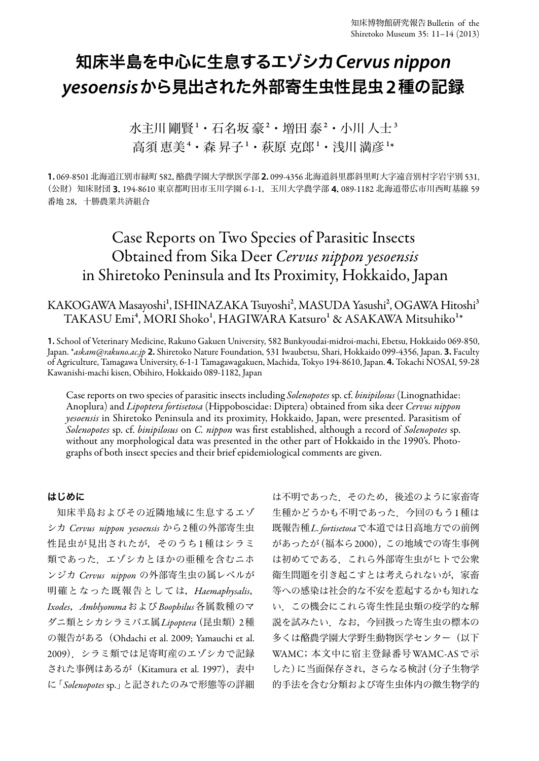# 知床半島を中心に生息するエゾシカ*Cervus nippon yesoensis*から見出された外部寄生虫性昆虫**2**種の記録

水主川 剛腎1・石名坂 豪2・増田 泰2・小川 人士3 高須 恵美+・森 昇子1・萩原 克郎1・浅川 満彦1\*

**1.** 069-8501 北海道江別市緑町 582,酪農学園大学獣医学部 **2.** 099-4356 北海道斜里郡斜里町大字遠音別村字岩宇別 531, (公財) 知床財団 3. 194-8610 東京都町田市玉川学園 6-1-1, 玉川大学農学部 4.089-1182 北海道帯広市川西町基線 59 番地 28,十勝農業共済組合

## Case Reports on Two Species of Parasitic Insects Obtained from Sika Deer *Cervus nippon yesoensis* in Shiretoko Peninsula and Its Proximity, Hokkaido, Japan

KAKOGAWA Masayoshi<sup>1</sup>, ISHINAZAKA Tsuyoshi<sup>2</sup>, MASUDA Yasushi<sup>2</sup>, OGAWA Hitoshi<sup>3</sup> TAKASU Emi<sup>4</sup>, MORI Shoko<sup>1</sup>, HAGIWARA Katsuro<sup>1</sup> & ASAKAWA Mitsuhiko<sup>1\*</sup>

**1.** School of Veterinary Medicine, Rakuno Gakuen University, 582 Bunkyoudai-midroi-machi, Ebetsu, Hokkaido 069-850, Japan. \**askam@rakuno.ac.jp* **2.** Shiretoko Nature Foundation, 531 Iwaubetsu, Shari, Hokkaido 099-4356, Japan. **3.** Faculty of Agriculture, Tamagawa University, 6-1-1 Tamagawagakuen, Machida, Tokyo 194-8610, Japan. **4.** Tokachi NOSAI, 59-28 Kawanishi-machi kisen, Obihiro, Hokkaido 089-1182, Japan

Case reports on two species of parasitic insects including *Solenopotes* sp. cf. *binipilosus* (Linognathidae: Anoplura) and *Lipoptera fortisetosa* (Hippoboscidae: Diptera) obtained from sika deer *Cervus nippon yesoensis* in Shiretoko Peninsula and its proximity, Hokkaido, Japan, were presented. Parasitism of *Solenopotes* sp. cf. *binipilosus* on *C. nippon* was first established, although a record of *Solenopotes* sp. without any morphological data was presented in the other part of Hokkaido in the 1990's. Photographs of both insect species and their brief epidemiological comments are given.

### はじめに

知床半島およびその近隣地域に生息するエゾ シカ *Cervus nippon yesoensis* から2種の外部寄生虫 性昆虫が見出されたが,そのうち1種はシラミ 類であった.エゾシカとほかの亜種を含むニホ ンジカ *Cervus nippon* の外部寄生虫の属レベルが 明確となった既報告としては,*Haemaphysalis*, *Ixodes*,*Amblyomma*および*Boophilus*各属数種のマ ダニ類とシカシラミバエ属*Lipoptera*(昆虫類)2種 の報告がある(Ohdachi et al. 2009; Yamauchi et al. 2009).シラミ類では足寄町産のエゾシカで記録 された事例はあるが(Kitamura et al. 1997),表中 に「*Solenopotes* sp.」と記されたのみで形態等の詳細

は不明であった.そのため,後述のように家畜寄 生種かどうかも不明であった.今回のもう1種は 既報告種*L. fortisetosa*で本道では日高地方での前例 があったが(福本ら2000),この地域での寄生事例 は初めてである.これら外部寄生虫がヒトで公衆 衛生問題を引き起こすとは考えられないが,家畜 等への感染は社会的な不安を惹起するかも知れな い.この機会にこれら寄生性昆虫類の疫学的な解 説を試みたい. なお、今回扱った寄生虫の標本の 多くは酪農学園大学野生動物医学センター(以下 WAMC;本文中に宿主登録番号WAMC-ASで示 した)に当面保存され,さらなる検討(分子生物学 的手法を含む分類および寄生虫体内の微生物学的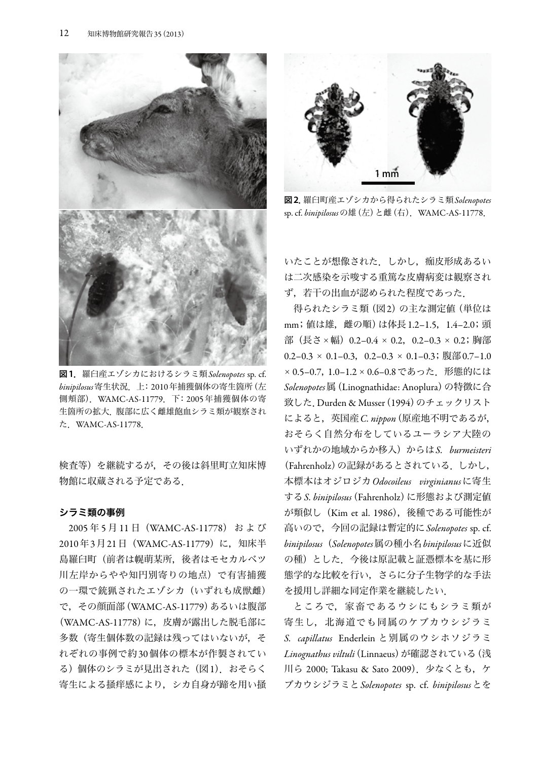

図**1**.羅臼産エゾシカにおけるシラミ類*Solenopotes* sp. cf. *binipilosus*寄生状況.上:2010年捕獲個体の寄生箇所(左 側頬部).WAMC-AS-11779.下:2005年捕獲個体の寄 生箇所の拡大.腹部に広く雌雄飽血シラミ類が観察され た.WAMC-AS-11778.

検査等)を継続するが,その後は斜里町立知床博 物館に収蔵される予定である.

#### シラミ類の事例

2005 年 5 月 11 日(WAMC-AS-11778) お よ び 2010年3月21日(WAMC-AS-11779)に,知床半 島羅臼町(前者は幌萌某所,後者はモセカルベツ 川左岸からやや知円別寄りの地点)で有害捕獲 の一環で銃猟されたエゾシカ(いずれも成獣雌) で,その顔面部(WAMC-AS-11779)あるいは腹部 (WAMC-AS-11778)に, 皮膚が露出した脱毛部に 多数(寄生個体数の記録は残ってはいないが、そ れぞれの事例で約30個体の標本が作製されてい る)個体のシラミが見出された(図1).おそらく 寄生による掻痒感により,シカ自身が蹄を用い掻



図**2**.羅臼町産エゾシカから得られたシラミ類*Solenopotes* sp. cf. *binipilosus*の雄(左)と雌(右).WAMC-AS-11778.

いたことが想像された. しかし、痂皮形成あるい は二次感染を示唆する重篤な皮膚病変は観察され ず,若干の出血が認められた程度であった.

得られたシラミ類(図2)の主な測定値(単位は mm;値は雄,雌の順)は体長1.2–1.5,1.4–2.0;頭 部(長さ×幅) 0.2-0.4 × 0.2, 0.2-0.3 × 0.2; 胸部  $0.2-0.3 \times 0.1-0.3$ ,  $0.2-0.3 \times 0.1-0.3$ ; 腹部0.7-1.0 × 0.5-0.7, 1.0-1.2 × 0.6-0.8 であった. 形態的には *Solenopotes*属(Linognathidae: Anoplura)の特徴に合 致した. Durden & Musser (1994)のチェックリスト によると,英国産*C. nippon*(原産地不明であるが, おそらく自然分布をしているユーラシア大陸の いずれかの地域からか移入)からは*S. burmeisteri* (Fahrenholz)の記録があるとされている.しかし, 本標本はオジロジカ*Odocoileus virginianus*に寄生 する*S. binipilosus*(Fahrenholz)に形態および測定値 が類似し(Kim et al. 1986),後種である可能性が 高いので,今回の記録は暫定的に*Solenopotes* sp. cf. *binipilosus*(*Solenopotes*属の種小名*binipilosus*に近似 の種)とした.今後は原記載と証憑標本を基に形 態学的な比較を行い,さらに分子生物学的な手法 を援用し詳細な同定作業を継続したい.

ところで,家畜であるウシにもシラミ類が 寄生し,北海道でも同属のケブカウシジラミ *S. capillatus* Enderlein と別属のウシホソジラミ *Linognathus viltuli*(Linnaeus)が確認されている(浅 川ら 2000; Takasu & Sato 2009).少なくとも,ケ ブカウシジラミと*Solenopotes* sp. cf. *binipilosus*とを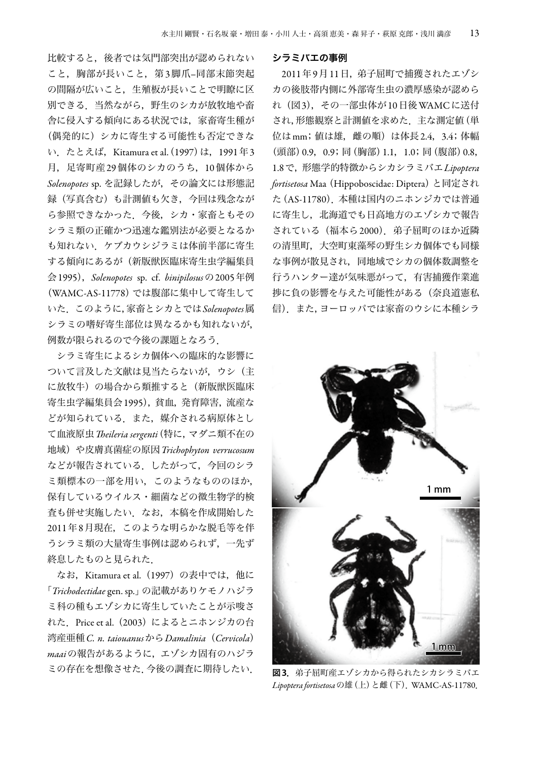比較すると,後者では気門部突出が認められない こと、胸部が長いこと、第3脚爪–同部末節突起 の間隔が広いこと,生殖板が長いことで明瞭に区 別できる.当然ながら,野生のシカが放牧地や畜 舎に侵入する傾向にある状況では,家畜寄生種が (偶発的に)シカに寄生する可能性も否定できな い. たとえば, Kitamura et al. (1997) は, 1991年3 月,足寄町産29個体のシカのうち,10個体から *Solenopotes* sp. を記録したが,その論文には形態記 録(写真含む)も計測値も欠き,今回は残念なが ら参照できなかった.今後,シカ・家畜ともその シラミ類の正確かつ迅速な鑑別法が必要となるか も知れない.ケブカウシジラミは体前半部に寄生 する傾向にあるが(新版獣医臨床寄生虫学編集員 会1995),*Solenopotes* sp. cf. *binipilosus*の2005年例 (WAMC-AS-11778)では腹部に集中して寄生して いた.このように,家畜とシカとでは*Solenopotes*属 シラミの嗜好寄生部位は異なるかも知れないが, 例数が限られるので今後の課題となろう.

シラミ寄生によるシカ個体への臨床的な影響に ついて言及した文献は見当たらないが,ウシ(主 に放牧牛)の場合から類推すると(新版獣医臨床 寄生虫学編集員会1995),貧血,発育障害,流産な どが知られている.また,媒介される病原体とし て血液原虫*Theileria sergenti*(特に,マダニ類不在の 地域)や皮膚真菌症の原因*Trichophyton verrucosum* などが報告されている.したがって,今回のシラ ミ類標本の一部を用い,このようなもののほか, 保有しているウイルス・細菌などの微生物学的検 査も併せ実施したい.なお,本稿を作成開始した 2011年8月現在,このような明らかな脱毛等を伴 うシラミ類の大量寄生事例は認められず,一先ず 終息したものと見られた.

なお, Kitamura et al. (1997) の表中では, 他に 「*Trichodectidae* gen. sp.」の記載がありケモノハジラ ミ科の種もエゾシカに寄生していたことが示唆さ れた. Price et al. (2003) によるとニホンジカの台 湾産亜種*C. n. taiouanus*から*Damalinia*(*Cervicola*) *maai*の報告があるように,エゾシカ固有のハジラ ミの存在を想像させた.今後の調査に期待したい.

#### シラミバエの事例

2011年9月11日,弟子屈町で捕獲されたエゾシ カの後肢帯内側に外部寄生虫の濃厚感染が認めら れ(図3),その一部虫体が10日後WAMCに送付 され,形態観察と計測値を求めた.主な測定値(単 位はmm;値は雄,雌の順)は体長2.4,3.4;体幅 (頭部) 0.9, 0.9; 同(胸部) 1.1, 1.0; 同(腹部) 0.8, 1.8で,形態学的特徴からシカシラミバエ*Lipoptera fortisetosa* Maa(Hippoboscidae: Diptera)と同定され た(AS-11780).本種は国内のニホンジカでは普通 に寄生し,北海道でも日高地方のエゾシカで報告 されている(福本ら2000).弟子屈町のほか近隣 の清里町,大空町東藻琴の野生シカ個体でも同様 な事例が散見され,同地域でシカの個体数調整を 行うハンター達が気味悪がって,有害捕獲作業進 捗に負の影響を与えた可能性がある(奈良道憲私 信).また,ヨーロッパでは家畜のウシに本種シラ



図**3**.弟子屈町産エゾシカから得られたシカシラミバエ *Lipoptera fortisetosa*の雄(上)と雌(下).WAMC-AS-11780.